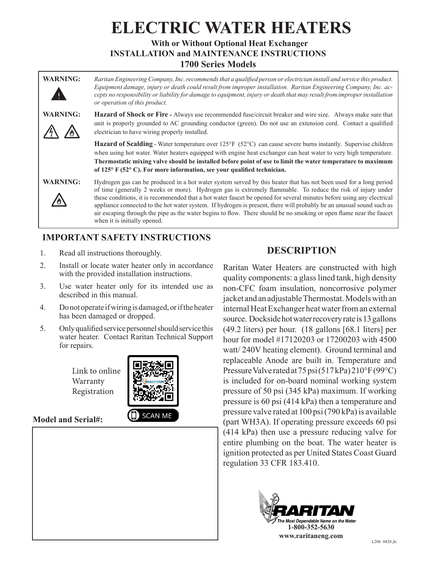# **ELECTRIC WATER HEATERS With or Without Optional Heat Exchanger**

**INSTALLATION and MAINTENANCE INSTRUCTIONS 1700 Series Models**

**WARNING:** *Raritan Engineering Company, Inc. recommends that a qualified person or electrician install and service this product. Equipment damage, injury or death could result from improper installation. Raritan Engineering Company, Inc. accepts no responsibility or liability for damage to equipment, injury or death that may result from improper installation or operation of this product.*

**WARNING: Hazard of Shock or Fire** *-* Always use recommended fuse/circuit breaker and wire size. Always make sure that unit is properly grounded to AC grounding conductor (green). Do not use an extension cord. Contact a qualified electrician to have wiring properly installed.

> **Hazard of Scalding** - Water temperature over 125°F (52°C) can cause severe burns instantly. Supervise children when using hot water. Water heaters equipped with engine heat exchanger can heat water to very high temperature. **Thermostatic mixing valve should be installed before point of use to limit the water temperature to maximum of 125° F (52° C). For more information, see your qualified technician.**

A A



**WARNING:** Hydrogen gas can be produced in a hot water system served by this heater that has not been used for a long period of time (generally 2 weeks or more). Hydrogen gas is extremely flammable. To reduce the risk of injury under these conditions, it is recommended that a hot water faucet be opened for several minutes before using any electrical appliance connected to the hot water system. If hydrogen is present, there will probably be an unusual sound such as air escaping through the pipe as the water begins to flow. There should be no smoking or open flame near the faucet when it is initially opened.

## **IMPORTANT SAFETY INSTRUCTIONS**

- 1. Read all instructions thoroughly.
- 2. Install or locate water heater only in accordance with the provided installation instructions.
- 3. Use water heater only for its intended use as described in this manual.
- 4. Do not operate if wiring is damaged, or if the heater has been damaged or dropped.
- 5. Only qualified service personnel should service this water heater. Contact Raritan Technical Support for repairs.

Link to online Warranty Registration



## **Model and Serial#:**



## **DESCRIPTION**

Raritan Water Heaters are constructed with high quality components: a glass lined tank, high density non-CFC foam insulation, noncorrosive polymer jacket and an adjustable Thermostat. Models with an internal Heat Exchanger heat water from an external source. Dockside hot water recovery rate is 13 gallons (49.2 liters) per hour. (18 gallons [68.1 liters] per hour for model #17120203 or 17200203 with 4500 watt/ 240V heating element). Ground terminal and replaceable Anode are built in. Temperature and Pressure Valve rated at 75 psi (517 kPa) 210°F (99°C) is included for on-board nominal working system pressure of 50 psi (345 kPa) maximum. If working pressure is 60 psi (414 kPa) then a temperature and pressure valve rated at 100 psi (790 kPa) is available (part WH3A). If operating pressure exceeds 60 psi (414 kPa) then use a pressure reducing valve for entire plumbing on the boat. The water heater is ignition protected as per United States Coast Guard regulation 33 CFR 183.410.

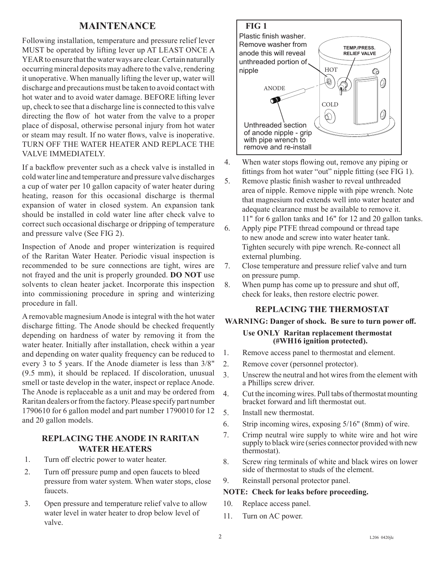## **MAINTENANCE FIG 1**

Following installation, temperature and pressure relief lever MUST be operated by lifting lever up AT LEAST ONCE A YEAR to ensure that the water ways are clear. Certain naturally occurring mineral deposits may adhere to the valve, rendering it unoperative. When manually lifting the lever up, water will discharge and precautions must be taken to avoid contact with hot water and to avoid water damage. BEFORE lifting lever up, check to see that a discharge line is connected to this valve directing the flow of hot water from the valve to a proper place of disposal, otherwise personal injury from hot water or steam may result. If no water flows, valve is inoperative. TURN OFF THE WATER HEATER AND REPLACE THE VALVE IMMEDIATELY.

If a backflow preventer such as a check valve is installed in cold water line and temperature and pressure valve discharges a cup of water per 10 gallon capacity of water heater during heating, reason for this occasional discharge is thermal expansion of water in closed system. An expansion tank should be installed in cold water line after check valve to correct such occasional discharge or dripping of temperature and pressure valve (See FIG 2).

Inspection of Anode and proper winterization is required of the Raritan Water Heater. Periodic visual inspection is recommended to be sure connections are tight, wires are not frayed and the unit is properly grounded. **DO NOT** use solvents to clean heater jacket. Incorporate this inspection into commissioning procedure in spring and winterizing procedure in fall.

A removable magnesium Anode is integral with the hot water discharge fitting. The Anode should be checked frequently depending on hardness of water by removing it from the water heater. Initially after installation, check within a year and depending on water quality frequency can be reduced to every 3 to 5 years. If the Anode diameter is less than 3/8" (9.5 mm), it should be replaced. If discoloration, unusual smell or taste develop in the water, inspect or replace Anode. The Anode is replaceable as a unit and may be ordered from Raritan dealers or from the factory. Please specify part number 1790610 for 6 gallon model and part number 1790010 for 12 and 20 gallon models.

#### **REPLACING THE ANODE IN RARITAN WATER HEATERS**

- 1. Turn off electric power to water heater.
- 2. Turn off pressure pump and open faucets to bleed pressure from water system. When water stops, close faucets.
- 3. Open pressure and temperature relief valve to allow water level in water heater to drop below level of valve.



4. When water stops flowing out, remove any piping or fittings from hot water "out" nipple fitting (see FIG 1).

5. Remove plastic finish washer to reveal unthreaded area of nipple. Remove nipple with pipe wrench. Note that magnesium rod extends well into water heater and adequate clearance must be available to remove it. 11" for 6 gallon tanks and 16" for 12 and 20 gallon tanks.

- 6. Apply pipe PTFE thread compound or thread tape to new anode and screw into water heater tank. Tighten securely with pipe wrench. Re-connect all external plumbing.
- 7. Close temperature and pressure relief valve and turn on pressure pump.
- 8. When pump has come up to pressure and shut off, check for leaks, then restore electric power.

#### **REPLACING THE THERMOSTAT**

# **WARNING: Danger of shock. Be sure to turn power off. Use ONLY Raritan replacement thermostat (#WH16 ignition protected).**

- 1. Remove access panel to thermostat and element.
- 2. Remove cover (personnel protector).
- 3. Unscrew the neutral and hot wires from the element with a Phillips screw driver.
- 4. Cut the incoming wires. Pull tabs of thermostat mounting bracket forward and lift thermostat out.
- 5. Install new thermostat.
- 6. Strip incoming wires, exposing 5/16" (8mm) of wire.
- 7. Crimp neutral wire supply to white wire and hot wire supply to black wire (series connector provided with new thermostat).
- 8. Screw ring terminals of white and black wires on lower side of thermostat to studs of the element.
- 9. Reinstall personal protector panel.

#### **NOTE: Check for leaks before proceeding.**

- 10. Replace access panel.
- 11. Turn on AC power.

 $\overline{2}$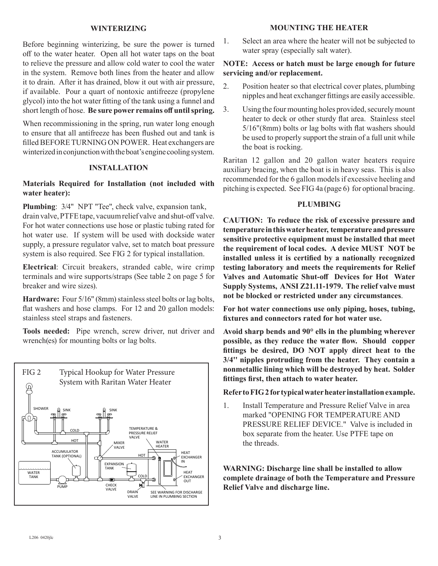#### **WINTERIZING**

Before beginning winterizing, be sure the power is turned off to the water heater. Open all hot water taps on the boat to relieve the pressure and allow cold water to cool the water in the system. Remove both lines from the heater and allow it to drain. After it has drained, blow it out with air pressure, if available. Pour a quart of nontoxic antifreeze (propylene glycol) into the hot water fitting of the tank using a funnel and short length of hose. **Be sure power remains off until spring.** 

When recommissioning in the spring, run water long enough to ensure that all antifreeze has been flushed out and tank is filled BEFORE TURNING ON POWER. Heat exchangers are winterized in conjunction with the boat's engine cooling system.

#### **INSTALLATION**

#### **Materials Required for Installation (not included with water heater):**

**Plumbing**: 3/4" NPT "Tee", check valve, expansion tank, drain valve, PTFE tape, vacuum relief valve and shut-off valve. For hot water connections use hose or plastic tubing rated for hot water use. If system will be used with dockside water supply, a pressure regulator valve, set to match boat pressure system is also required. See FIG 2 for typical installation.

**Electrical**: Circuit breakers, stranded cable, wire crimp terminals and wire supports/straps (See table 2 on page 5 for breaker and wire sizes).

**Hardware:** Four 5/16" (8mm) stainless steel bolts or lag bolts, flat washers and hose clamps. For 12 and 20 gallon models: stainless steel straps and fasteners.

**Tools needed:** Pipe wrench, screw driver, nut driver and wrench(es) for mounting bolts or lag bolts.



#### **MOUNTING THE HEATER**

1. Select an area where the heater will not be subjected to water spray (especially salt water).

#### **NOTE: Access or hatch must be large enough for future servicing and/or replacement.**

- 2. Position heater so that electrical cover plates, plumbing nipples and heat exchanger fittings are easily accessible.
- 3. Using the four mounting holes provided, securely mount heater to deck or other sturdy flat area. Stainless steel 5/16"(8mm) bolts or lag bolts with flat washers should be used to properly support the strain of a full unit while the boat is rocking.

Raritan 12 gallon and 20 gallon water heaters require auxiliary bracing, when the boat is in heavy seas. This is also recommended for the 6 gallon models if excessive heeling and pitching is expected. See FIG 4a (page 6) for optional bracing.

#### **PLUMBING**

**CAUTION: To reduce the risk of excessive pressure and temperature in this water heater, temperature and pressure sensitive protective equipment must be installed that meet the requirement of local codes. A device MUST NOT be installed unless it is certified by a nationally recognized testing laboratory and meets the requirements for Relief Valves and Automatic Shut-off Devices for Hot Water Supply Systems, ANSI Z21.11-1979. The relief valve must not be blocked or restricted under any circumstances**.

**For hot water connections use only piping, hoses, tubing, fixtures and connectors rated for hot water use.** 

**Avoid sharp bends and 90° ells in the plumbing wherever possible, as they reduce the water flow. Should copper fittings be desired, DO NOT apply direct heat to the 3/4'' nipples protruding from the heater. They contain a nonmetallic lining which will be destroyed by heat. Solder fittings first, then attach to water heater.** 

#### **Refer to FIG 2 for typical water heater installation example.**

1. Install Temperature and Pressure Relief Valve in area marked "OPENING FOR TEMPERATURE AND PRESSURE RELIEF DEVICE." Valve is included in box separate from the heater. Use PTFE tape on the threads.

**WARNING: Discharge line shall be installed to allow complete drainage of both the Temperature and Pressure Relief Valve and discharge line.**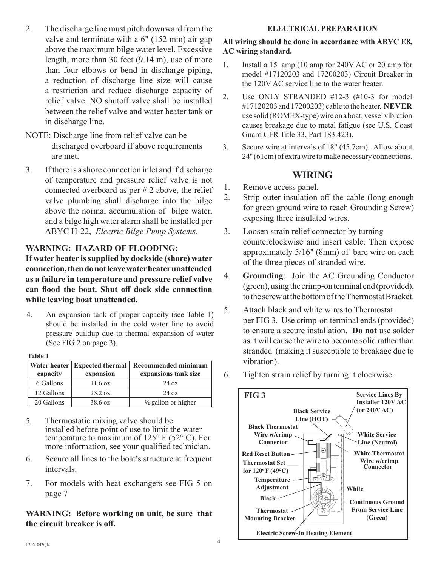- 2. The discharge line must pitch downward from the valve and terminate with a 6" (152 mm) air gap above the maximum bilge water level. Excessive length, more than 30 feet (9.14 m), use of more than four elbows or bend in discharge piping, a reduction of discharge line size will cause a restriction and reduce discharge capacity of relief valve. NO shutoff valve shall be installed between the relief valve and water heater tank or in discharge line.
- NOTE: Discharge line from relief valve can be discharged overboard if above requirements are met.
- 3. If there is a shore connection inlet and if discharge of temperature and pressure relief valve is not connected overboard as per # 2 above, the relief valve plumbing shall discharge into the bilge above the normal accumulation of bilge water, and a bilge high water alarm shall be installed per ABYC H-22, *Electric Bilge Pump Systems.*

## **WARNING: HAZARD OF FLOODING:**

**If water heater is supplied by dockside (shore) water connection, then do not leave water heater unattended as a failure in temperature and pressure relief valve can flood the boat. Shut off dock side connection while leaving boat unattended.**

4. An expansion tank of proper capacity (see Table 1) should be installed in the cold water line to avoid pressure buildup due to thermal expansion of water (See FIG 2 on page 3).

#### **Table 1**

| capacity   | Water heater   Expected thermal  <br>expansion | Recommended minimum<br>expansions tank size |  |  |  |
|------------|------------------------------------------------|---------------------------------------------|--|--|--|
| 6 Gallons  | 11.6 oz                                        | $24 \text{ oz}$                             |  |  |  |
| 12 Gallons | 23.2 oz                                        | $24 \text{ oz}$                             |  |  |  |
| 20 Gallons | 38.6 oz                                        | $\frac{1}{2}$ gallon or higher              |  |  |  |

- 5. Thermostatic mixing valve should be installed before point of use to limit the water temperature to maximum of  $125^{\circ}$  F (52° C). For more information, see your qualified technician.
- 6. Secure all lines to the boat's structure at frequent intervals.
- 7. For models with heat exchangers see FIG 5 on page 7

**WARNING: Before working on unit, be sure that the circuit breaker is off.**

#### **ELECTRICAL PREPARATION**

## **All wiring should be done in accordance with ABYC E8, AC wiring standard.**

- 1. Install a 15 amp (10 amp for 240V AC or 20 amp for model #17120203 and 17200203) Circuit Breaker in the 120V AC service line to the water heater.
- 2. Use ONLY STRANDED #12-3 (#10-3 for model #17120203 and 17200203) cable to the heater. **NEVER** use solid (ROMEX-type) wire on a boat; vessel vibration causes breakage due to metal fatigue (see U.S. Coast Guard CFR Title 33, Part 183.423).
- 3. Secure wire at intervals of 18" (45.7cm). Allow about 24'' (61cm) of extra wire to make necessary connections.

## **WIRING**

- 1. Remove access panel.
- 2. Strip outer insulation off the cable (long enough for green ground wire to reach Grounding Screw) exposing three insulated wires.
- 3. Loosen strain relief connector by turning counterclockwise and insert cable. Then expose approximately 5/16" (8mm) of bare wire on each of the three pieces of stranded wire.
- 4. **Grounding**: Join the AC Grounding Conductor (green), using the crimp-on terminal end (provided), to the screw at the bottom of the Thermostat Bracket.
- 5. Attach black and white wires to Thermostat per FIG 3. Use crimp-on terminal ends (provided) to ensure a secure installation. **Do not** use solder as it will cause the wire to become solid rather than stranded (making it susceptible to breakage due to vibration).
- 6. Tighten strain relief by turning it clockwise.

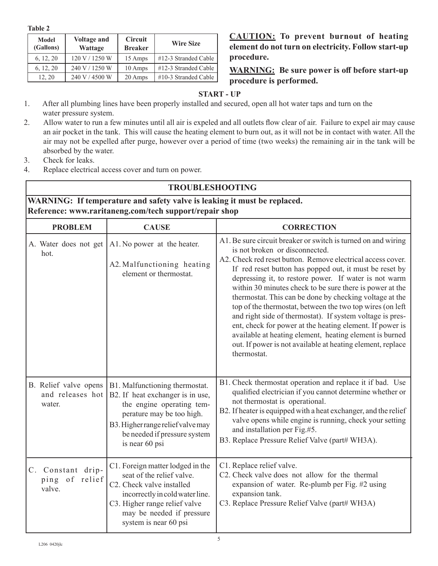**Table 2**

| <b>Model</b><br>(Gallons) | <b>Voltage and</b><br><b>Wattage</b> | <b>Circuit</b><br><b>Breaker</b> | <b>Wire Size</b>        |
|---------------------------|--------------------------------------|----------------------------------|-------------------------|
| 6, 12, 20                 | 120 V / 1250 W                       | 15 Amps                          | $\#12-3$ Stranded Cable |
| 6, 12, 20                 | 240 V / 1250 W                       | 10 Amps                          | #12-3 Stranded Cable    |
| 12, 20                    | 240 V / 4500 W                       | 20 Amps                          | $\#10-3$ Stranded Cable |

**CAUTION: To prevent burnout of heating element do not turn on electricity. Follow start-up procedure.**

**WARNING: Be sure power is off before start-up procedure is performed.**

## **START - UP**

- 1. After all plumbing lines have been properly installed and secured, open all hot water taps and turn on the water pressure system.
- 2. Allow water to run a few minutes until all air is expeled and all outlets flow clear of air. Failure to expel air may cause an air pocket in the tank. This will cause the heating element to burn out, as it will not be in contact with water. All the air may not be expelled after purge, however over a period of time (two weeks) the remaining air in the tank will be absorbed by the water.
- 3. Check for leaks.
- 4. Replace electrical access cover and turn on power.

| <b>TROUBLESHOOTING</b>                                                                                                             |                                                                                                                                                                                                                                                                      |                                                                                                                                                                                                                                                                                                                                                                                                                                                                                                                                                                                                                                                                                                                                         |  |  |  |
|------------------------------------------------------------------------------------------------------------------------------------|----------------------------------------------------------------------------------------------------------------------------------------------------------------------------------------------------------------------------------------------------------------------|-----------------------------------------------------------------------------------------------------------------------------------------------------------------------------------------------------------------------------------------------------------------------------------------------------------------------------------------------------------------------------------------------------------------------------------------------------------------------------------------------------------------------------------------------------------------------------------------------------------------------------------------------------------------------------------------------------------------------------------------|--|--|--|
| WARNING: If temperature and safety valve is leaking it must be replaced.<br>Reference: www.raritaneng.com/tech support/repair shop |                                                                                                                                                                                                                                                                      |                                                                                                                                                                                                                                                                                                                                                                                                                                                                                                                                                                                                                                                                                                                                         |  |  |  |
| <b>PROBLEM</b>                                                                                                                     | <b>CAUSE</b>                                                                                                                                                                                                                                                         | <b>CORRECTION</b>                                                                                                                                                                                                                                                                                                                                                                                                                                                                                                                                                                                                                                                                                                                       |  |  |  |
| A. Water does not get<br>hot.                                                                                                      | A1. No power at the heater.<br>A2. Malfunctioning heating<br>element or thermostat.                                                                                                                                                                                  | A1. Be sure circuit breaker or switch is turned on and wiring<br>is not broken or disconnected.<br>A2. Check red reset button. Remove electrical access cover.<br>If red reset button has popped out, it must be reset by<br>depressing it, to restore power. If water is not warm<br>within 30 minutes check to be sure there is power at the<br>thermostat. This can be done by checking voltage at the<br>top of the thermostat, between the two top wires (on left<br>and right side of thermostat). If system voltage is pres-<br>ent, check for power at the heating element. If power is<br>available at heating element, heating element is burned<br>out. If power is not available at heating element, replace<br>thermostat. |  |  |  |
| water.                                                                                                                             | B. Relief valve opens   B1. Malfunctioning thermostat.<br>and releases hot $\vert$ B2. If heat exchanger is in use,<br>the engine operating tem-<br>perature may be too high.<br>B3. Higher range relief valve may<br>be needed if pressure system<br>is near 60 psi | B1. Check thermostat operation and replace it if bad. Use<br>qualified electrician if you cannot determine whether or<br>not thermostat is operational.<br>B2. If heater is equipped with a heat exchanger, and the relief<br>valve opens while engine is running, check your setting<br>and installation per Fig.#5.<br>B3. Replace Pressure Relief Valve (part# WH3A).                                                                                                                                                                                                                                                                                                                                                                |  |  |  |
| C. Constant drip-<br>ping of relief<br>valve.                                                                                      | C1. Foreign matter lodged in the<br>seat of the relief valve.<br>C2. Check valve installed<br>incorrectly in cold water line.<br>C3. Higher range relief valve<br>may be needed if pressure<br>system is near 60 psi                                                 | C1. Replace relief valve.<br>C2. Check valve does not allow for the thermal<br>expansion of water. Re-plumb per Fig. #2 using<br>expansion tank.<br>C3. Replace Pressure Relief Valve (part# WH3A)                                                                                                                                                                                                                                                                                                                                                                                                                                                                                                                                      |  |  |  |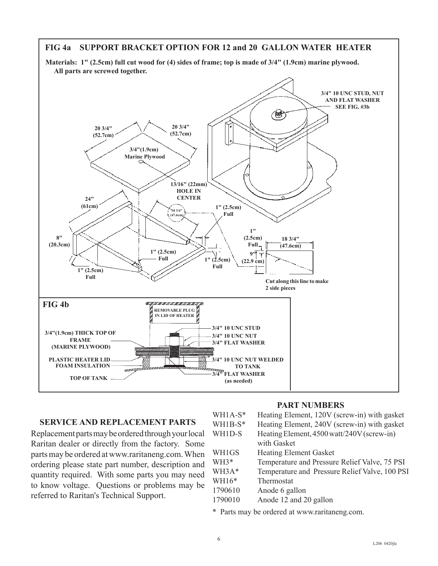

## **SERVICE AND REPLACEMENT PARTS**

Replacement parts may be ordered through your local Raritan dealer or directly from the factory. Some parts may be ordered at www.raritaneng.com. When ordering please state part number, description and quantity required. With some parts you may need to know voltage. Questions or problems may be referred to Raritan's Technical Support.

#### **PART NUMBERS**

| WH1A-S*   | Heating Element, 120V (screw-in) with gasket   |
|-----------|------------------------------------------------|
| $WH1B-S*$ | Heating Element, 240V (screw-in) with gasket   |
| WH1D-S    | Heating Element, 4500 watt/240V (screw-in)     |
|           | with Gasket                                    |
| WH1GS     | <b>Heating Element Gasket</b>                  |
| WH3*      | Temperature and Pressure Relief Valve, 75 PSI  |
| WH3A*     | Temperature and Pressure Relief Valve, 100 PSI |
| WH16*     | Thermostat                                     |
| 1790610   | Anode 6 gallon                                 |
| 1790010   | Anode 12 and 20 gallon                         |
|           |                                                |

\* Parts may be ordered at www.raritaneng.com.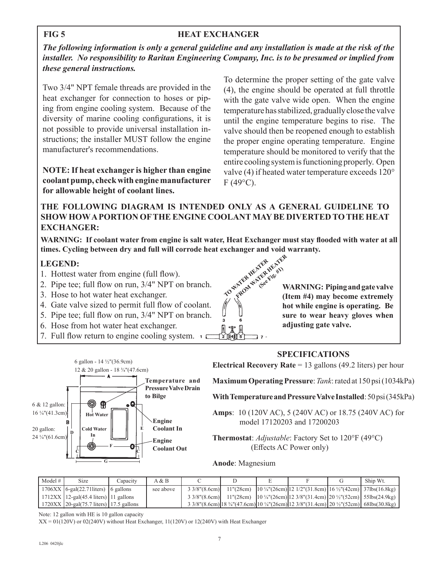## **HEAT EXCHANGER**

*The following information is only a general guideline and any installation is made at the risk of the installer. No responsibility to Raritan Engineering Company, Inc. is to be presumed or implied from these general instructions.*

Two 3/4" NPT female threads are provided in the heat exchanger for connection to hoses or piping from engine cooling system. Because of the diversity of marine cooling configurations, it is not possible to provide universal installation instructions; the installer MUST follow the engine manufacturer's recommendations.

**NOTE: If heat exchanger is higher than engine coolant pump, check with engine manufacturer for allowable height of coolant lines.**

To determine the proper setting of the gate valve (4), the engine should be operated at full throttle with the gate valve wide open. When the engine temperature has stabilized, gradually close the valve until the engine temperature begins to rise. The valve should then be reopened enough to establish the proper engine operating temperature. Engine temperature should be monitored to verify that the entire cooling system is functioning properly. Open valve (4) if heated water temperature exceeds 120°  $F(49^{\circ}C)$ .

## **THE FOLLOWING DIAGRAM IS INTENDED ONLY AS A GENERAL GUIDELINE TO SHOW HOW A PORTION OF THE ENGINE COOLANT MAY BE DIVERTED TO THE HEAT EXCHANGER:**

**TO WATER HEATER WARNING: If coolant water from engine is salt water, Heat Exchanger must stay flooded with water at all times. Cycling between dry and full will corrode heat exchanger and void warranty.**

## **LEGEND:**

- 1. Hottest water from engine (full flow).
- 2. Pipe tee; full flow on run, 3/4" NPT on branch.
- 3. Hose to hot water heat exchanger.
- 4. Gate valve sized to permit full flow of coolant.
- 5. Pipe tee; full flow on run, 3/4" NPT on branch.
- 6. Hose from hot water heat exchanger.
- $\frac{1}{2}$ 7. Full flow return to engine cooling system.

FROM WATER HEATER (See Fig. #1) **WARNING: Piping and gate valve (Item #4) may become extremely hot while engine is operating. Be sure to wear heavy gloves when adjusting gate valve.**

## **SPECIFICATIONS**

**Electrical Recovery Rate** = 13 gallons (49.2 liters) per hour

**Maximum Operating Pressure**: *Tank*: rated at 150 psi (1034kPa)

**With Temperature and Pressure Valve Installed**: 50 psi (345kPa)

**Amps**: 10 (120V AC), 5 (240V AC) or 18.75 (240V AC) for model 17120203 and 17200203

**Thermostat**: *Adjustable*: Factory Set to 120°F (49°C) (Effects AC Power only)

**Anode**: Magnesium

 $7 -$ 

| Model $#$ | Size                                        | Capacity | A & B     |  |                                                                                                                 | Ship Wt. |
|-----------|---------------------------------------------|----------|-----------|--|-----------------------------------------------------------------------------------------------------------------|----------|
|           | $1706XX$   6-gal(22.71 liters)   6 gallons  |          | see above |  | $33/8$ "(8.6cm) 11"(28cm) 10 ¼"(26cm) 12 1/2"(31.8cm) 16 ½"(42cm) 37lbs(16.8kg)                                 |          |
|           | $1712XX$   12-gal(45.4 liters)   11 gallons |          |           |  | $33/8$ "(8.6cm) 11"(28cm) 10 ¼"(26cm) 12 3/8"(31.4cm) 20 ½"(52cm) 55lbs(24.9kg)                                 |          |
|           | $1720XX$ 20-gal(75.7 liters) 17.5 gallons   |          |           |  | $33/8$ "(8.6cm) 18 3/4"(47.6cm) 10 $\frac{1}{4}$ "(26cm) 12 3/8"(31.4cm) 20 $\frac{1}{2}$ "(52cm) 68lbs(30.8kg) |          |

Note: 12 gallon with HE is 10 gallon capacity

 $XX = 01(120V)$  or  $02(240V)$  without Heat Exchanger,  $11(120V)$  or  $12(240V)$  with Heat Exchanger



#### **FIG 5**